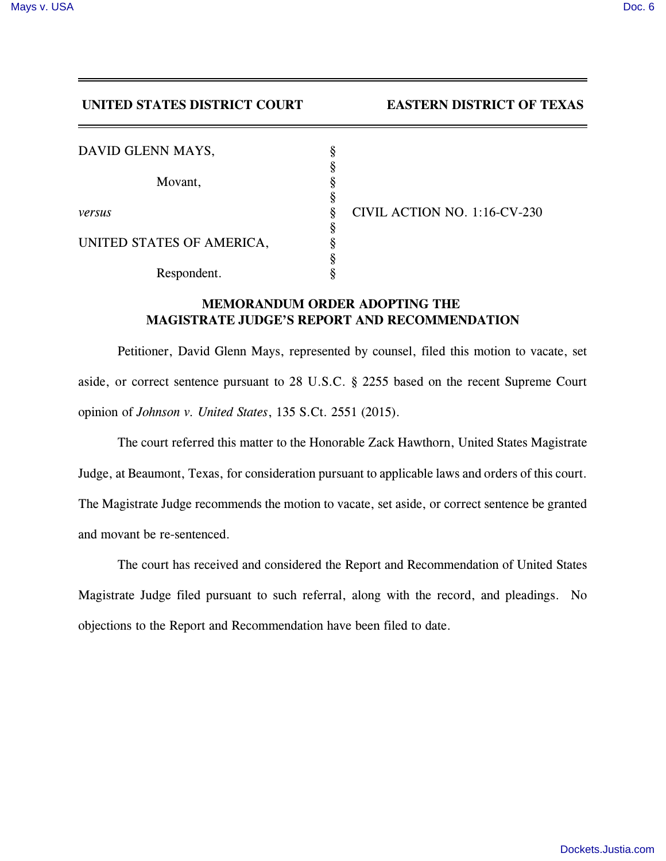## **UNITED STATES DISTRICT COURT EASTERN DISTRICT OF TEXAS**

| DAVID GLENN MAYS,         |                              |
|---------------------------|------------------------------|
|                           |                              |
| Movant,                   |                              |
|                           |                              |
| versus                    | CIVIL ACTION NO. 1:16-CV-230 |
|                           |                              |
| UNITED STATES OF AMERICA, |                              |
|                           |                              |
| Respondent.               |                              |

## **MEMORANDUM ORDER ADOPTING THE MAGISTRATE JUDGE'S REPORT AND RECOMMENDATION**

Petitioner, David Glenn Mays, represented by counsel, filed this motion to vacate, set aside, or correct sentence pursuant to 28 U.S.C. § 2255 based on the recent Supreme Court opinion of *Johnson v. United States*, 135 S.Ct. 2551 (2015).

The court referred this matter to the Honorable Zack Hawthorn, United States Magistrate Judge, at Beaumont, Texas, for consideration pursuant to applicable laws and orders of this court. The Magistrate Judge recommends the motion to vacate, set aside, or correct sentence be granted and movant be re-sentenced.

The court has received and considered the Report and Recommendation of United States Magistrate Judge filed pursuant to such referral, along with the record, and pleadings. No objections to the Report and Recommendation have been filed to date.